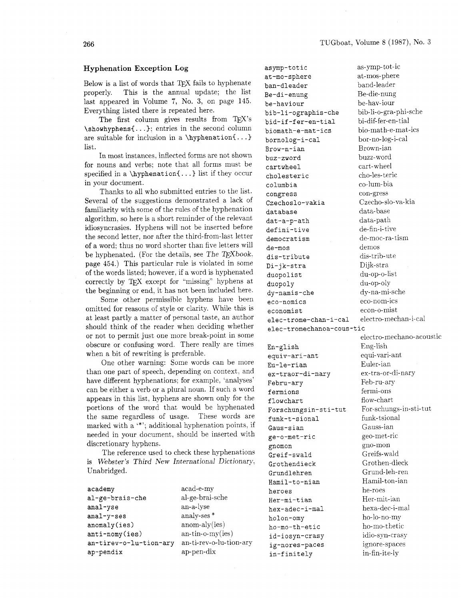## **Hyphenation Exception Log**

Below is a list of words that TFX fails to hyphenate properly. This is the annual update: the list last appeared in Volume 7, No. **3,** on page 145. Everything listed there is repeated here.

The first column gives results from TEX's \showhyphens{. . .); entries in the second column are suitable for inclusion in a  $\hbox{\texttt{b}}$ list.

In most instances, inflected forms are not shown for nouns and verbs; note that all forms must be specified in a \hyphenation{. . .) list if they occur in your document.

Thanks to all who submitted entries to the list. Several of the suggestions demonstrated a lack of familiarity with some of the rules of the hyphenation algorithm, so here is a short reminder of the relevant idiosyncrasies. Hyphens will not be inserted before the second letter. nor after the third-from-last letter of a word; thus no word shorter than five letters will be hyphenated. (For the details, see The T $FXbook$ , page 454.) This particular rule is violated in some of the words listed; however, if a word is hyphenated correctly by TEX except for "missing" hyphens at the beginning or end, it has not been included here.

Some other permissible hyphens have been omitted for reasons of style or clarity. While this is at least partly a matter of personal taste, an author should think of the reader when deciding whether or not to permit just one more break-point in some obscure or confusing word. There really are times when a bit of rewriting is preferable.

One other warning: Some words can be more than one part of speech. depending on context. and have different hyphenations; for example, 'analyses' can be either a verb or a plural noun. If such a word appears in this list, hyphens are shown only for the portions of the word that would be hyphenated the same regardless of usage. These words are marked with a '\*'; additional hyphenation points. if needed in your document, should be inserted with discretionary hyphens.

The reference used to check these hyphenations is Webster's Third New International Dictionary. Unabridged.

| academy                | acad-e-my               |
|------------------------|-------------------------|
| al-ge-brais-che        | al-ge-brai-sche         |
| anal-yse               | an-a-lyse               |
| anal-y-ses             | analy-ses <sup>*</sup>  |
| anomaly(ies)           | $anom-aly(ies)$         |
| anti-nomy(ies)         | $an-time-my(ies)$       |
| an-tirev-o-lu-tion-ary | an-ti-rev-o-lu-tion-ary |
| ap-pendix              | ap-pen-dix              |
|                        |                         |

asymp-totic at-mo-sphere ban-dleader Be-di-enung be-haviour bib-li-ographis-che bid-if-fer-en-tial biomath-e-mat-ics bornolog-i-cal Brow-n-ian buz-zword cartwheel cholesteric columbia congress Czechoslo-vakia database dat -a-p-ath defini-tive democrat ism de-mos dis-tribute Di-jk-stra duopolist duopoly dy-namis-che eco-nomics economist elec-trome-chan-i-ca1 electro-mechan-i-cal elec-tromechanoa-cous-tic En-glish equiv-ari-ant Eu-le-rian ex-traor-di-nary Febru-ary fermions flowchart Forschungsin-sti-tut funk-t-sional Gaus-sian ge-o-met-ric

gnomon Greif-swald Grothendieck Grundlehren Hamil-to-nian

heroes Her-mi-tian hex-adec-i-ma1 holon-omy ho-mo-th-etic id-iosyn-crasy ig-nores-paces in-finitely

as-ymp-tot-ic at-mos-phere band-leader Be-die-nung be-hav-iour bib-li-o-gra-phi-sche bi-dif-fer-en-tial bio-math-e-mat-ics bor-no-log-i-cal Brown-ian buzz-word cart-wheel cho-les- teric co-lum- bia con-gress Czecho-slo-va-kia data- base data-path de-fin-i- tive de-moc-ra-tism demos dis-trib-ute Dijk-stra du-op-o-list du-op-oly dy-na-mi-sche eco-nom-ics econ-o-mist electro-mechano-acoustic Eng-lish equi-vari-ant Euler-ian ex-tra-or-di-nary Feb-ru-ary fermi-ons flow-chart For-schungs-in-st i-tut funk- tsional Gauss-ian geo-met-ric gno-mon Greifs-wald Grothen-dieck Grund-leh-ren Hamil-ton-ian he-roes Her-mit-ian hexa-dec-i-ma1 ho-lo-no-my ho-mo-thetic idio-syn-crasy ignore-spaces

in-fin-ite-ly